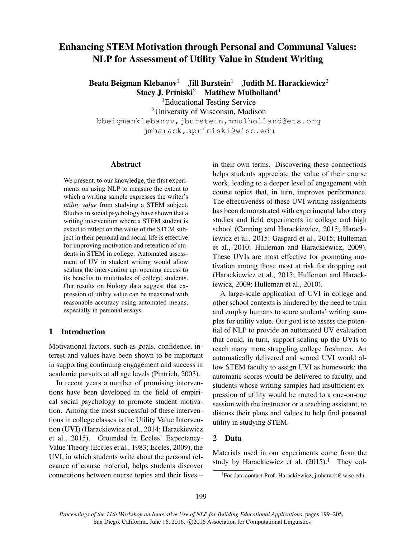# Enhancing STEM Motivation through Personal and Communal Values: NLP for Assessment of Utility Value in Student Writing

Beata Beigman Klebanov<sup>1</sup> Jill Burstein<sup>1</sup> Judith M. Harackiewicz<sup>2</sup>

Stacy J. Priniski<sup>2</sup> Matthew Mulholland<sup>1</sup>

<sup>1</sup>Educational Testing Service <sup>2</sup>University of Wisconsin, Madison

bbeigmanklebanov, jburstein, mmulholland@ets.org jmharack,spriniski@wisc.edu

# Abstract

We present, to our knowledge, the first experiments on using NLP to measure the extent to which a writing sample expresses the writer's *utility value* from studying a STEM subject. Studies in social psychology have shown that a writing intervention where a STEM student is asked to reflect on the value of the STEM subject in their personal and social life is effective for improving motivation and retention of students in STEM in college. Automated assessment of UV in student writing would allow scaling the intervention up, opening access to its benefits to multitudes of college students. Our results on biology data suggest that expression of utility value can be measured with reasonable accuracy using automated means, especially in personal essays.

# 1 Introduction

Motivational factors, such as goals, confidence, interest and values have been shown to be important in supporting continuing engagement and success in academic pursuits at all age levels (Pintrich, 2003).

In recent years a number of promising interventions have been developed in the field of empirical social psychology to promote student motivation. Among the most successful of these interventions in college classes is the Utility Value Intervention (UVI) (Harackiewicz et al., 2014; Harackiewicz et al., 2015). Grounded in Eccles' Expectancy-Value Theory (Eccles et al., 1983; Eccles, 2009), the UVI, in which students write about the personal relevance of course material, helps students discover connections between course topics and their lives –

in their own terms. Discovering these connections helps students appreciate the value of their course work, leading to a deeper level of engagement with course topics that, in turn, improves performance. The effectiveness of these UVI writing assignments has been demonstrated with experimental laboratory studies and field experiments in college and high school (Canning and Harackiewicz, 2015; Harackiewicz et al., 2015; Gaspard et al., 2015; Hulleman et al., 2010; Hulleman and Harackiewicz, 2009). These UVIs are most effective for promoting motivation among those most at risk for dropping out (Harackiewicz et al., 2015; Hulleman and Harackiewicz, 2009; Hulleman et al., 2010).

A large-scale application of UVI in college and other school contexts is hindered by the need to train and employ humans to score students' writing samples for utility value. Our goal is to assess the potential of NLP to provide an automated UV evaluation that could, in turn, support scaling up the UVIs to reach many more struggling college freshmen. An automatically delivered and scored UVI would allow STEM faculty to assign UVI as homework; the automatic scores would be delivered to faculty, and students whose writing samples had insufficient expression of utility would be routed to a one-on-one session with the instructor or a teaching assistant, to discuss their plans and values to help find personal utility in studying STEM.

# 2 Data

Materials used in our experiments come from the study by Harackiewicz et al.  $(2015).<sup>1</sup>$  They col-

<sup>&</sup>lt;sup>1</sup>For data contact Prof. Harackiewicz, jmharack@wisc.edu.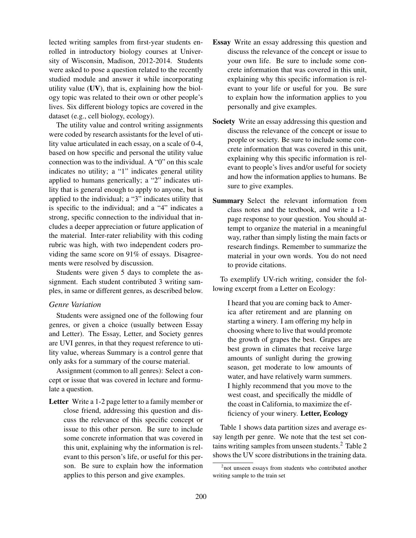lected writing samples from first-year students enrolled in introductory biology courses at University of Wisconsin, Madison, 2012-2014. Students were asked to pose a question related to the recently studied module and answer it while incorporating utility value  $(UV)$ , that is, explaining how the biology topic was related to their own or other people's lives. Six different biology topics are covered in the dataset (e.g., cell biology, ecology).

The utility value and control writing assignments were coded by research assistants for the level of utility value articulated in each essay, on a scale of 0-4, based on how specific and personal the utility value connection was to the individual. A "0" on this scale indicates no utility; a "1" indicates general utility applied to humans generically; a "2" indicates utility that is general enough to apply to anyone, but is applied to the individual; a "3" indicates utility that is specific to the individual; and a "4" indicates a strong, specific connection to the individual that includes a deeper appreciation or future application of the material. Inter-rater reliability with this coding rubric was high, with two independent coders providing the same score on 91% of essays. Disagreements were resolved by discussion.

Students were given 5 days to complete the assignment. Each student contributed 3 writing samples, in same or different genres, as described below.

#### *Genre Variation*

Students were assigned one of the following four genres, or given a choice (usually between Essay and Letter). The Essay, Letter, and Society genres are UVI genres, in that they request reference to utility value, whereas Summary is a control genre that only asks for a summary of the course material.

Assignment (common to all genres): Select a concept or issue that was covered in lecture and formulate a question.

Letter Write a 1-2 page letter to a family member or close friend, addressing this question and discuss the relevance of this specific concept or issue to this other person. Be sure to include some concrete information that was covered in this unit, explaining why the information is relevant to this person's life, or useful for this person. Be sure to explain how the information applies to this person and give examples.

- Essay Write an essay addressing this question and discuss the relevance of the concept or issue to your own life. Be sure to include some concrete information that was covered in this unit, explaining why this specific information is relevant to your life or useful for you. Be sure to explain how the information applies to you personally and give examples.
- Society Write an essay addressing this question and discuss the relevance of the concept or issue to people or society. Be sure to include some concrete information that was covered in this unit, explaining why this specific information is relevant to people's lives and/or useful for society and how the information applies to humans. Be sure to give examples.
- Summary Select the relevant information from class notes and the textbook, and write a 1-2 page response to your question. You should attempt to organize the material in a meaningful way, rather than simply listing the main facts or research findings. Remember to summarize the material in your own words. You do not need to provide citations.

To exemplify UV-rich writing, consider the following excerpt from a Letter on Ecology:

I heard that you are coming back to America after retirement and are planning on starting a winery. I am offering my help in choosing where to live that would promote the growth of grapes the best. Grapes are best grown in climates that receive large amounts of sunlight during the growing season, get moderate to low amounts of water, and have relatively warm summers. I highly recommend that you move to the west coast, and specifically the middle of the coast in California, to maximize the efficiency of your winery. Letter, Ecology

Table 1 shows data partition sizes and average essay length per genre. We note that the test set contains writing samples from unseen students. $<sup>2</sup>$  Table 2</sup> shows the UV score distributions in the training data.

<sup>2</sup> not unseen essays from students who contributed another writing sample to the train set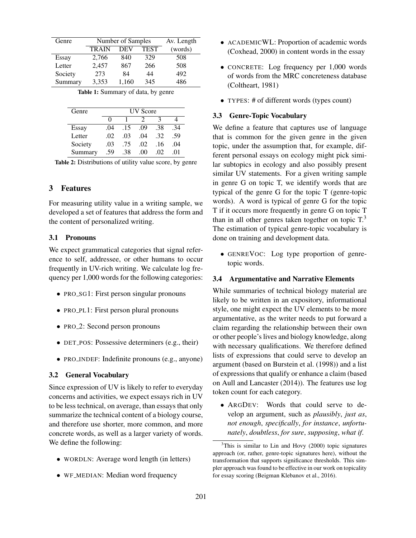| Genre   | Number of Samples |       |             | Av. Length |
|---------|-------------------|-------|-------------|------------|
|         | <b>TRAIN</b>      | DEV   | <b>TEST</b> | (words)    |
| Essay   | 2,766             | 840   | 329         | 508        |
| Letter  | 2,457             | 867   | 266         | 508        |
| Society | 273               | 84    | 44          | 492        |
| Summary | 3,353             | 1,160 | 345         | 486        |

Table 1: Summary of data, by genre

| Genre   | <b>UV</b> Score   |     |      |          |         |  |
|---------|-------------------|-----|------|----------|---------|--|
|         | $\mathbf{\Omega}$ |     |      |          |         |  |
| Essay   | -04               | .15 | .09  | .38      | 34      |  |
| Letter  | .02               | .03 | .04  | .32      | .59     |  |
| Society | .03               | .75 | .02  | .16      | .04     |  |
| Summary | -59               | -38 | (0() | $\Omega$ | $^{01}$ |  |

Table 2: Distributions of utility value score, by genre

#### 3 Features

For measuring utility value in a writing sample, we developed a set of features that address the form and the content of personalized writing.

### 3.1 Pronouns

We expect grammatical categories that signal reference to self, addressee, or other humans to occur frequently in UV-rich writing. We calculate log frequency per 1,000 words for the following categories:

- PRO\_SG1: First person singular pronouns
- PRO\_PL1: First person plural pronouns
- PRO<sub>-2</sub>: Second person pronouns
- DET\_POS: Possessive determiners (e.g., their)
- PRO INDEF: Indefinite pronouns (e.g., anyone)

#### 3.2 General Vocabulary

Since expression of UV is likely to refer to everyday concerns and activities, we expect essays rich in UV to be less technical, on average, than essays that only summarize the technical content of a biology course, and therefore use shorter, more common, and more concrete words, as well as a larger variety of words. We define the following:

- WORDLN: Average word length (in letters)
- WF\_MEDIAN: Median word frequency
- ACADEMICWL: Proportion of academic words (Coxhead, 2000) in content words in the essay
- CONCRETE: Log frequency per 1,000 words of words from the MRC concreteness database (Coltheart, 1981)
- TYPES: # of different words (types count)

### 3.3 Genre-Topic Vocabulary

We define a feature that captures use of language that is common for the given genre in the given topic, under the assumption that, for example, different personal essays on ecology might pick similar subtopics in ecology and also possibly present similar UV statements. For a given writing sample in genre G on topic T, we identify words that are typical of the genre G for the topic T (genre-topic words). A word is typical of genre G for the topic T if it occurs more frequently in genre G on topic T than in all other genres taken together on topic  $T<sup>3</sup>$ The estimation of typical genre-topic vocabulary is done on training and development data.

• GENREVOC: Log type proportion of genretopic words.

# 3.4 Argumentative and Narrative Elements

While summaries of technical biology material are likely to be written in an expository, informational style, one might expect the UV elements to be more argumentative, as the writer needs to put forward a claim regarding the relationship between their own or other people's lives and biology knowledge, along with necessary qualifications. We therefore defined lists of expressions that could serve to develop an argument (based on Burstein et al. (1998)) and a list of expressions that qualify or enhance a claim (based on Aull and Lancaster (2014)). The features use log token count for each category.

• ARGDEV: Words that could serve to develop an argument, such as *plausibly*, *just as*, *not enough*, *specifically*, *for instance*, *unfortunately*, *doubtless*, *for sure*, *supposing*, *what if*.

 $3$ This is similar to Lin and Hovy (2000) topic signatures approach (or, rather, genre-topic signatures here), without the transformation that supports significance thresholds. This simpler approach was found to be effective in our work on topicality for essay scoring (Beigman Klebanov et al., 2016).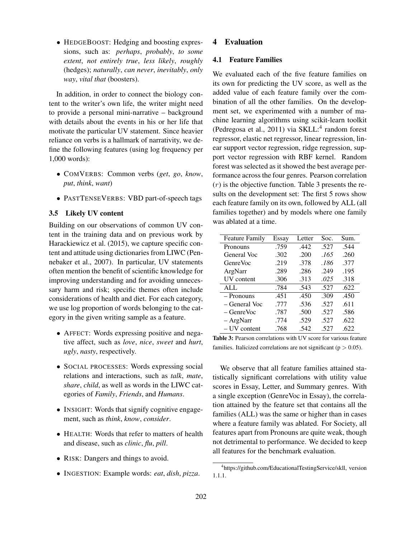• HEDGEBOOST: Hedging and boosting expressions, such as: *perhaps*, *probably*, *to some extent*, *not entirely true*, *less likely*, *roughly* (hedges); *naturally*, *can never*, *inevitably*, *only way*, *vital that* (boosters).

In addition, in order to connect the biology content to the writer's own life, the writer might need to provide a personal mini-narrative – background with details about the events in his or her life that motivate the particular UV statement. Since heavier reliance on verbs is a hallmark of narrativity, we define the following features (using log frequency per 1,000 words):

- COMVERBS: Common verbs (*get*, *go*, *know*, *put*, *think*, *want*)
- PASTTENSEVERBS: VBD part-of-speech tags

### 3.5 Likely UV content

Building on our observations of common UV content in the training data and on previous work by Harackiewicz et al. (2015), we capture specific content and attitude using dictionaries from LIWC (Pennebaker et al., 2007). In particular, UV statements often mention the benefit of scientific knowledge for improving understanding and for avoiding unnecessary harm and risk; specific themes often include considerations of health and diet. For each category, we use log proportion of words belonging to the category in the given writing sample as a feature.

- AFFECT: Words expressing positive and negative affect, such as *love*, *nice*, *sweet* and *hurt*, *ugly*, *nasty*, respectively.
- SOCIAL PROCESSES: Words expressing social relations and interactions, such as *talk*, *mate*, *share*, *child*, as well as words in the LIWC categories of *Family*, *Friends*, and *Humans*.
- INSIGHT: Words that signify cognitive engagement, such as *think*, *know*, *consider*.
- HEALTH: Words that refer to matters of health and disease, such as *clinic*, *flu*, *pill*.
- RISK: Dangers and things to avoid.
- INGESTION: Example words: *eat*, *dish*, *pizza*.

# 4 Evaluation

# 4.1 Feature Families

We evaluated each of the five feature families on its own for predicting the UV score, as well as the added value of each feature family over the combination of all the other families. On the development set, we experimented with a number of machine learning algorithms using scikit-learn toolkit (Pedregosa et al., 2011) via SKLL:<sup>4</sup> random forest regressor, elastic net regressor, linear regression, linear support vector regression, ridge regression, support vector regression with RBF kernel. Random forest was selected as it showed the best average performance across the four genres. Pearson correlation  $(r)$  is the objective function. Table 3 presents the results on the development set: The first 5 rows show each feature family on its own, followed by ALL (all families together) and by models where one family was ablated at a time.

| <b>Feature Family</b> | Essay | Letter | Soc. | Sum. |
|-----------------------|-------|--------|------|------|
| Pronouns              | .759  | .442   | .527 | .544 |
| General Voc           | .302  | .200   | .165 | .260 |
| <b>GenreVoc</b>       | .219  | .378   | .186 | .377 |
| ArgNarr               | .289  | .286   | .249 | .195 |
| <b>IJV</b> content    | .306  | .313   | .025 | .318 |
| AI.                   | .784  | .543   | .527 | .622 |
| $-$ Pronouns          | .451  | .450   | .309 | .450 |
| – General Voc         | .777  | .536   | .527 | .611 |
| $-$ GenreVoc          | .787  | .500   | .527 | .586 |
| $-$ ArgNarr           | .774  | .529   | .527 | .622 |
| $-$ UV content        | .768  | .542   | .527 | .622 |

Table 3: Pearson correlations with UV score for various feature families. Italicized correlations are not significant ( $p > 0.05$ ).

We observe that all feature families attained statistically significant correlations with utility value scores in Essay, Letter, and Summary genres. With a single exception (GenreVoc in Essay), the correlation attained by the feature set that contains all the families (ALL) was the same or higher than in cases where a feature family was ablated. For Society, all features apart from Pronouns are quite weak, though not detrimental to performance. We decided to keep all features for the benchmark evaluation.

<sup>4</sup> https://github.com/EducationalTestingService/skll, version 1.1.1.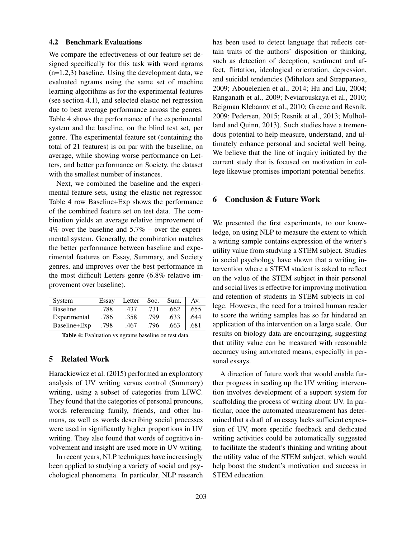#### 4.2 Benchmark Evaluations

We compare the effectiveness of our feature set designed specifically for this task with word ngrams  $(n=1,2,3)$  baseline. Using the development data, we evaluated ngrams using the same set of machine learning algorithms as for the experimental features (see section 4.1), and selected elastic net regression due to best average performance across the genres. Table 4 shows the performance of the experimental system and the baseline, on the blind test set, per genre. The experimental feature set (containing the total of 21 features) is on par with the baseline, on average, while showing worse performance on Letters, and better performance on Society, the dataset with the smallest number of instances.

Next, we combined the baseline and the experimental feature sets, using the elastic net regressor. Table 4 row Baseline+Exp shows the performance of the combined feature set on test data. The combination yields an average relative improvement of 4% over the baseline and 5.7% – over the experimental system. Generally, the combination matches the better performance between baseline and experimental features on Essay, Summary, and Society genres, and improves over the best performance in the most difficult Letters genre (6.8% relative improvement over baseline).

| System          | Essay | Letter | Soc. | Sum. | Av.  |
|-----------------|-------|--------|------|------|------|
| <b>Baseline</b> | .788  | .437   | .731 | .662 | .655 |
| Experimental    | .786  | .358   | .799 | .633 | .644 |
| Baseline+Exp    | .798  | .467   | .796 | .663 | .681 |

Table 4: Evaluation vs ngrams baseline on test data.

# 5 Related Work

Harackiewicz et al. (2015) performed an exploratory analysis of UV writing versus control (Summary) writing, using a subset of categories from LIWC. They found that the categories of personal pronouns, words referencing family, friends, and other humans, as well as words describing social processes were used in significantly higher proportions in UV writing. They also found that words of cognitive involvement and insight are used more in UV writing.

In recent years, NLP techniques have increasingly been applied to studying a variety of social and psychological phenomena. In particular, NLP research has been used to detect language that reflects certain traits of the authors' disposition or thinking, such as detection of deception, sentiment and affect, flirtation, ideological orientation, depression, and suicidal tendencies (Mihalcea and Strapparava, 2009; Abouelenien et al., 2014; Hu and Liu, 2004; Ranganath et al., 2009; Neviarouskaya et al., 2010; Beigman Klebanov et al., 2010; Greene and Resnik, 2009; Pedersen, 2015; Resnik et al., 2013; Mulholland and Quinn, 2013). Such studies have a tremendous potential to help measure, understand, and ultimately enhance personal and societal well being. We believe that the line of inquiry initiated by the current study that is focused on motivation in college likewise promises important potential benefits.

# 6 Conclusion & Future Work

We presented the first experiments, to our knowledge, on using NLP to measure the extent to which a writing sample contains expression of the writer's utility value from studying a STEM subject. Studies in social psychology have shown that a writing intervention where a STEM student is asked to reflect on the value of the STEM subject in their personal and social lives is effective for improving motivation and retention of students in STEM subjects in college. However, the need for a trained human reader to score the writing samples has so far hindered an application of the intervention on a large scale. Our results on biology data are encouraging, suggesting that utility value can be measured with reasonable accuracy using automated means, especially in personal essays.

A direction of future work that would enable further progress in scaling up the UV writing intervention involves development of a support system for scaffolding the process of writing about UV. In particular, once the automated measurement has determined that a draft of an essay lacks sufficient expression of UV, more specific feedback and dedicated writing activities could be automatically suggested to facilitate the student's thinking and writing about the utility value of the STEM subject, which would help boost the student's motivation and success in STEM education.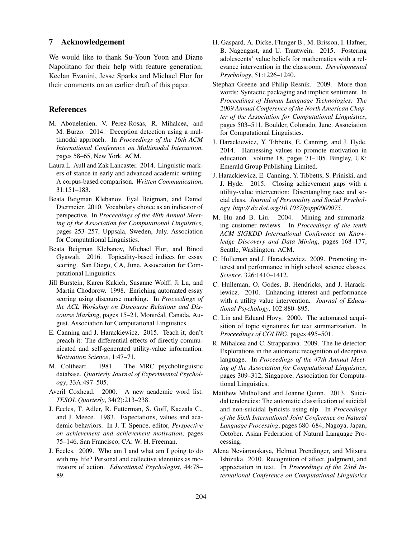#### 7 Acknowledgement

We would like to thank Su-Youn Yoon and Diane Napolitano for their help with feature generation; Keelan Evanini, Jesse Sparks and Michael Flor for their comments on an earlier draft of this paper.

#### References

- M. Abouelenien, V. Perez-Rosas, R. Mihalcea, and M. Burzo. 2014. Deception detection using a multimodal approach. In *Proceedings of the 16th ACM International Conference on Multimodal Interaction*, pages 58–65, New York. ACM.
- Laura L. Aull and Zak Lancaster. 2014. Linguistic markers of stance in early and advanced academic writing: A corpus-based comparison. *Written Communication*, 31:151–183.
- Beata Beigman Klebanov, Eyal Beigman, and Daniel Diermeier. 2010. Vocabulary choice as an indicator of perspective. In *Proceedings of the 48th Annual Meeting of the Association for Computational Linguistics*, pages 253–257, Uppsala, Sweden, July. Association for Computational Linguistics.
- Beata Beigman Klebanov, Michael Flor, and Binod Gyawali. 2016. Topicality-based indices for essay scoring. San Diego, CA, June. Association for Computational Linguistics.
- Jill Burstein, Karen Kukich, Susanne Wolff, Ji Lu, and Martin Chodorow. 1998. Enriching automated essay scoring using discourse marking. In *Proceedings of the ACL Workshop on Discourse Relations and Discourse Marking*, pages 15–21, Montréal, Canada, August. Association for Computational Linguistics.
- E. Canning and J. Harackiewicz. 2015. Teach it, don't preach it: The differential effects of directly communicated and self-generated utility-value information. *Motivation Science*, 1:47–71.
- M. Coltheart. 1981. The MRC psycholinguistic database. *Quarterly Journal of Experimental Psychology*, 33A:497–505.
- Averil Coxhead. 2000. A new academic word list. *TESOL Quarterly*, 34(2):213–238.
- J. Eccles, T. Adler, R. Futterman, S. Goff, Kaczala C., and J. Meece. 1983. Expectations, values and academic behaviors. In J. T. Spence, editor, *Perspective on achievement and achievement motivation*, pages 75–146. San Francisco, CA: W. H. Freeman.
- J. Eccles. 2009. Who am I and what am I going to do with my life? Personal and collective identities as motivators of action. *Educational Psychologist*, 44:78– 89.
- H. Gaspard, A. Dicke, Flunger B., M. Brisson, I. Hafner, B. Nagengast, and U. Trautwein. 2015. Fostering adolescents' value beliefs for mathematics with a relevance intervention in the classroom. *Developmental Psychology*, 51:1226–1240.
- Stephan Greene and Philip Resnik. 2009. More than words: Syntactic packaging and implicit sentiment. In *Proceedings of Human Language Technologies: The 2009 Annual Conference of the North American Chapter of the Association for Computational Linguistics*, pages 503–511, Boulder, Colorado, June. Association for Computational Linguistics.
- J. Harackiewicz, Y. Tibbetts, E. Canning, and J. Hyde. 2014. Harnessing values to promote motivation in education. volume 18, pages 71–105. Bingley, UK: Emerald Group Publishing Limited.
- J. Harackiewicz, E. Canning, Y. Tibbetts, S. Priniski, and J. Hyde. 2015. Closing achievement gaps with a utility-value intervention: Disentangling race and social class. *Journal of Personality and Social Psychology, http:// dx.doi.org/10.1037/pspp0000075*.
- M. Hu and B. Liu. 2004. Mining and summarizing customer reviews. In *Proceedings of the tenth ACM SIGKDD International Conference on Knowledge Discovery and Data Mining*, pages 168–177, Seattle, Washington. ACM.
- C. Hulleman and J. Harackiewicz. 2009. Promoting interest and performance in high school science classes. *Science*, 326:1410–1412.
- C. Hulleman, O. Godes, B. Hendricks, and J. Harackiewicz. 2010. Enhancing interest and performance with a utility value intervention. *Journal of Educational Psychology*, 102:880–895.
- C. Lin and Eduard Hovy. 2000. The automated acquisition of topic signatures for text summarization. In *Proceedings of COLING*, pages 495–501.
- R. Mihalcea and C. Strapparava. 2009. The lie detector: Explorations in the automatic recognition of deceptive language. In *Proceedings of the 47th Annual Meeting of the Association for Computational Linguistics*, pages 309–312, Singapore. Association for Computational Linguistics.
- Matthew Mulholland and Joanne Quinn. 2013. Suicidal tendencies: The automatic classification of suicidal and non-suicidal lyricists using nlp. In *Proceedings of the Sixth International Joint Conference on Natural Language Processing*, pages 680–684, Nagoya, Japan, October. Asian Federation of Natural Language Processing.
- Alena Neviarouskaya, Helmut Prendinger, and Mitsuru Ishizuka. 2010. Recognition of affect, judgment, and appreciation in text. In *Proceedings of the 23rd International Conference on Computational Linguistics*